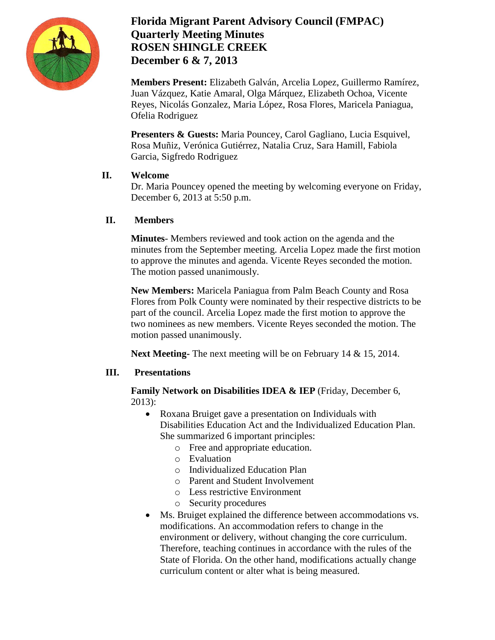

## **Florida Migrant Parent Advisory Council (FMPAC) Quarterly Meeting Minutes ROSEN SHINGLE CREEK December 6 & 7, 2013**

**Members Present:** Elizabeth Galván, Arcelia Lopez, Guillermo Ramírez, Juan Vázquez, Katie Amaral, Olga Márquez, Elizabeth Ochoa, Vicente Reyes, Nicolás Gonzalez, Maria López, Rosa Flores, Maricela Paniagua, Ofelia Rodriguez

**Presenters & Guests:** Maria Pouncey, Carol Gagliano, Lucia Esquivel, Rosa Muñiz, Verónica Gutiérrez, Natalia Cruz, Sara Hamill, Fabiola Garcia, Sigfredo Rodriguez

### **II. Welcome**

Dr. Maria Pouncey opened the meeting by welcoming everyone on Friday, December 6, 2013 at 5:50 p.m.

## **II. Members**

**Minutes**- Members reviewed and took action on the agenda and the minutes from the September meeting. Arcelia Lopez made the first motion to approve the minutes and agenda. Vicente Reyes seconded the motion. The motion passed unanimously.

**New Members:** Maricela Paniagua from Palm Beach County and Rosa Flores from Polk County were nominated by their respective districts to be part of the council. Arcelia Lopez made the first motion to approve the two nominees as new members. Vicente Reyes seconded the motion. The motion passed unanimously.

**Next Meeting-** The next meeting will be on February 14 & 15, 2014.

### **III. Presentations**

**Family Network on Disabilities IDEA & IEP** (Friday, December 6, 2013):

- Roxana Bruiget gave a presentation on Individuals with Disabilities Education Act and the Individualized Education Plan. She summarized 6 important principles:
	- o Free and appropriate education.
	- o Evaluation
	- o Individualized Education Plan
	- o Parent and Student Involvement
	- o Less restrictive Environment
	- o Security procedures
- Ms. Bruiget explained the difference between accommodations vs. modifications. An accommodation refers to change in the environment or delivery, without changing the core curriculum. Therefore, teaching continues in accordance with the rules of the State of Florida. On the other hand, modifications actually change curriculum content or alter what is being measured.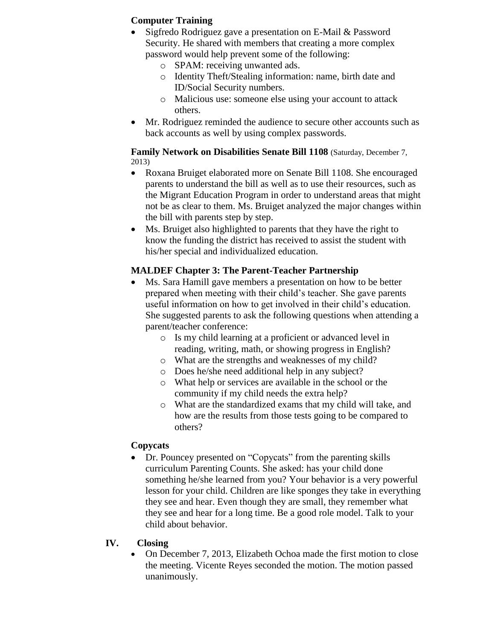### **Computer Training**

- Sigfredo Rodriguez gave a presentation on E-Mail & Password Security. He shared with members that creating a more complex password would help prevent some of the following:
	- o SPAM: receiving unwanted ads.
	- o Identity Theft/Stealing information: name, birth date and ID/Social Security numbers.
	- o Malicious use: someone else using your account to attack others.
- Mr. Rodriguez reminded the audience to secure other accounts such as back accounts as well by using complex passwords.

#### **Family Network on Disabilities Senate Bill 1108** (Saturday, December 7, 2013)

- Roxana Bruiget elaborated more on Senate Bill 1108. She encouraged parents to understand the bill as well as to use their resources, such as the Migrant Education Program in order to understand areas that might not be as clear to them. Ms. Bruiget analyzed the major changes within the bill with parents step by step.
- Ms. Bruiget also highlighted to parents that they have the right to know the funding the district has received to assist the student with his/her special and individualized education.

## **MALDEF Chapter 3: The Parent-Teacher Partnership**

- Ms. Sara Hamill gave members a presentation on how to be better prepared when meeting with their child's teacher. She gave parents useful information on how to get involved in their child's education. She suggested parents to ask the following questions when attending a parent/teacher conference:
	- o Is my child learning at a proficient or advanced level in reading, writing, math, or showing progress in English?
	- o What are the strengths and weaknesses of my child?
	- o Does he/she need additional help in any subject?
	- o What help or services are available in the school or the community if my child needs the extra help?
	- o What are the standardized exams that my child will take, and how are the results from those tests going to be compared to others?

### **Copycats**

• Dr. Pouncey presented on "Copycats" from the parenting skills curriculum Parenting Counts. She asked: has your child done something he/she learned from you? Your behavior is a very powerful lesson for your child. Children are like sponges they take in everything they see and hear. Even though they are small, they remember what they see and hear for a long time. Be a good role model. Talk to your child about behavior.

### **IV. Closing**

 On December 7, 2013, Elizabeth Ochoa made the first motion to close the meeting. Vicente Reyes seconded the motion. The motion passed unanimously.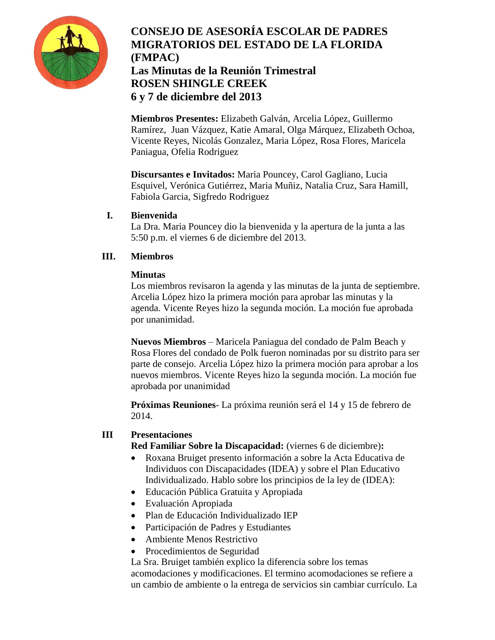

# **CONSEJO DE ASESORÍA ESCOLAR DE PADRES MIGRATORIOS DEL ESTADO DE LA FLORIDA (FMPAC) Las Minutas de la Reunión Trimestral ROSEN SHINGLE CREEK 6 y 7 de diciembre del 2013**

**Miembros Presentes:** Elizabeth Galván, Arcelia López, Guillermo Ramírez, Juan Vázquez, Katie Amaral, Olga Márquez, Elizabeth Ochoa, Vicente Reyes, Nicolás Gonzalez, Maria López, Rosa Flores, Maricela Paniagua, Ofelia Rodriguez

**Discursantes e Invitados:** Maria Pouncey, Carol Gagliano, Lucia Esquivel, Verónica Gutiérrez, Maria Muñiz, Natalia Cruz, Sara Hamill, Fabiola Garcia, Sigfredo Rodriguez

### **I. Bienvenida**

La Dra. Maria Pouncey dio la bienvenida y la apertura de la junta a las 5:50 p.m. el viernes 6 de diciembre del 2013.

## **III. Miembros**

### **Minutas**

Los miembros revisaron la agenda y las minutas de la junta de septiembre. Arcelia López hizo la primera moción para aprobar las minutas y la agenda. Vicente Reyes hizo la segunda moción. La moción fue aprobada por unanimidad.

**Nuevos Miembros** – Maricela Paniagua del condado de Palm Beach y Rosa Flores del condado de Polk fueron nominadas por su distrito para ser parte de consejo. Arcelia López hizo la primera moción para aprobar a los nuevos miembros. Vicente Reyes hizo la segunda moción. La moción fue aprobada por unanimidad

**Próximas Reuniones**- La próxima reunión será el 14 y 15 de febrero de 2014.

### **III Presentaciones**

**Red Familiar Sobre la Discapacidad:** (viernes 6 de diciembre)**:**

- Roxana Bruiget presento información a sobre la Acta Educativa de Individuos con Discapacidades (IDEA) y sobre el Plan Educativo Individualizado. Hablo sobre los principios de la ley de (IDEA):
- Educación Pública Gratuita y Apropiada
- Evaluación Apropiada
- Plan de Educación Individualizado IEP
- Participación de Padres y Estudiantes
- Ambiente Menos Restrictivo
- Procedimientos de Seguridad

La Sra. Bruiget también explico la diferencia sobre los temas acomodaciones y modificaciones. El termino acomodaciones se refiere a un cambio de ambiente o la entrega de servicios sin cambiar currículo. La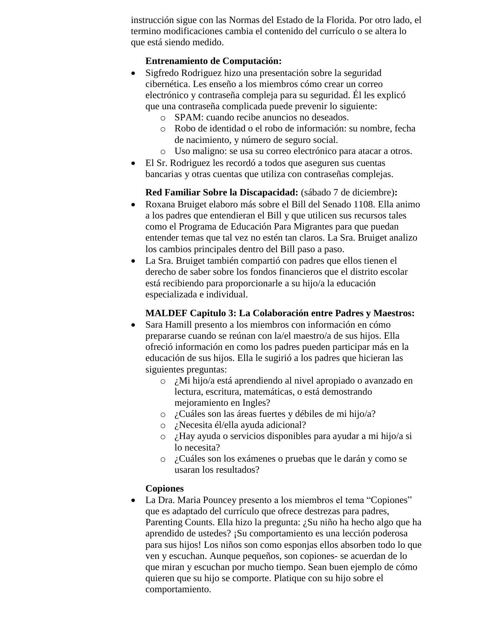instrucción sigue con las Normas del Estado de la Florida. Por otro lado, el termino modificaciones cambia el contenido del currículo o se altera lo que está siendo medido.

### **Entrenamiento de Computación:**

- Sigfredo Rodriguez hizo una presentación sobre la seguridad cibernética. Les enseño a los miembros cómo crear un correo electrónico y contraseña compleja para su seguridad. Él les explicó que una contraseña complicada puede prevenir lo siguiente:
	- o SPAM: cuando recibe anuncios no deseados.
	- o Robo de identidad o el robo de información: su nombre, fecha de nacimiento, y número de seguro social.
	- o Uso maligno: se usa su correo electrónico para atacar a otros.
- El Sr. Rodriguez les recordó a todos que aseguren sus cuentas bancarias y otras cuentas que utiliza con contraseñas complejas.

**Red Familiar Sobre la Discapacidad:** (sábado 7 de diciembre)**:**

- Roxana Bruiget elaboro más sobre el Bill del Senado 1108. Ella animo a los padres que entendieran el Bill y que utilicen sus recursos tales como el Programa de Educación Para Migrantes para que puedan entender temas que tal vez no estén tan claros. La Sra. Bruiget analizo los cambios principales dentro del Bill paso a paso.
- La Sra. Bruiget también compartió con padres que ellos tienen el derecho de saber sobre los fondos financieros que el distrito escolar está recibiendo para proporcionarle a su hijo/a la educación especializada e individual.

## **MALDEF Capitulo 3: La Colaboración entre Padres y Maestros:**

- Sara Hamill presento a los miembros con información en cómo prepararse cuando se reúnan con la/el maestro/a de sus hijos. Ella ofreció información en como los padres pueden participar más en la educación de sus hijos. Ella le sugirió a los padres que hicieran las siguientes preguntas:
	- o ¿Mi hijo/a está aprendiendo al nivel apropiado o avanzado en lectura, escritura, matemáticas, o está demostrando mejoramiento en Ingles?
	- o ¿Cuáles son las áreas fuertes y débiles de mi hijo/a?
	- o ¿Necesita él/ella ayuda adicional?
	- o ¿Hay ayuda o servicios disponibles para ayudar a mi hijo/a si lo necesita?
	- o ¿Cuáles son los exámenes o pruebas que le darán y como se usaran los resultados?

## **Copiones**

 La Dra. Maria Pouncey presento a los miembros el tema "Copiones" que es adaptado del currículo que ofrece destrezas para padres, Parenting Counts. Ella hizo la pregunta: ¿Su niño ha hecho algo que ha aprendido de ustedes? ¡Su comportamiento es una lección poderosa para sus hijos! Los niños son como esponjas ellos absorben todo lo que ven y escuchan. Aunque pequeños, son copiones- se acuerdan de lo que miran y escuchan por mucho tiempo. Sean buen ejemplo de cómo quieren que su hijo se comporte. Platique con su hijo sobre el comportamiento.